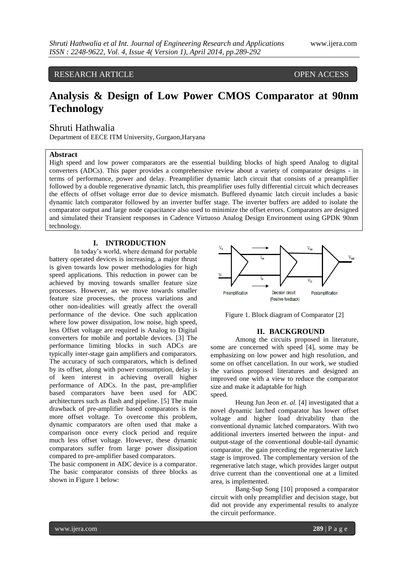## RESEARCH ARTICLE OPEN ACCESS

# **Analysis & Design of Low Power CMOS Comparator at 90nm Technology**

## Shruti Hathwalia

Department of EECE ITM University, Gurgaon,Haryana

## **Abstract**

High speed and low power comparators are the essential building blocks of high speed Analog to digital converters (ADCs). This paper provides a comprehensive review about a variety of comparator designs - in terms of performance, power and delay. Preamplifier dynamic latch circuit that consists of a preamplifier followed by a double regenerative dynamic latch, this preamplifier uses fully differential circuit which decreases the effects of offset voltage error due to device mismatch. Buffered dynamic latch circuit includes a basic dynamic latch comparator followed by an inverter buffer stage. The inverter buffers are added to isolate the comparator output and large node capacitance also used to minimize the offset errors. Comparators are designed and simulated their Transient responses in Cadence Virtuoso Analog Design Environment using GPDK 90nm technology.

## **I. INTRODUCTION**

In today"s world, where demand for portable battery operated devices is increasing, a major thrust is given towards low power methodologies for high speed applications. This reduction in power can be achieved by moving towards smaller feature size processes. However, as we move towards smaller feature size processes, the process variations and other non-idealities will greatly affect the overall performance of the device. One such application where low power dissipation, low noise, high speed, less Offset voltage are required is Analog to Digital converters for mobile and portable devices. [3] The performance limiting blocks in such ADCs are typically inter-stage gain amplifiers and comparators. The accuracy of such comparators, which is defined by its offset, along with power consumption, delay is of keen interest in achieving overall higher performance of ADCs. In the past, pre-amplifier based comparators have been used for ADC architectures such as flash and pipeline. [5] The main drawback of pre-amplifier based comparators is the more offset voltage. To overcome this problem, dynamic comparators are often used that make a comparison once every clock period and require much less offset voltage. However, these dynamic comparators suffer from large power dissipation compared to pre-amplifier based comparators.

The basic component in ADC device is a comparator. The basic comparator consists of three blocks as shown in Figure 1 below:



Figure 1. Block diagram of Comparator [2]

## **II. BACKGROUND**

Among the circuits proposed in literature, some are concerned with speed [4], some may be emphasizing on low power and high resolution, and some on offset cancellation. In our work, we studied the various proposed literatures and designed an improved one with a view to reduce the comparator size and make it adaptable for high speed.

Heung Jun Jeon *et. al.* [4] investigated that a novel dynamic latched comparator has lower offset voltage and higher load drivability than the conventional dynamic latched comparators. With two additional inverters inserted between the input- and output-stage of the conventional double-tail dynamic comparator, the gain preceding the regenerative latch stage is improved. The complementary version of the regenerative latch stage, which provides larger output drive current than the conventional one at a limited area, is implemented.

Bang-Sup Song [10] proposed a comparator circuit with only preamplifier and decision stage, but did not provide any experimental results to analyze the circuit performance.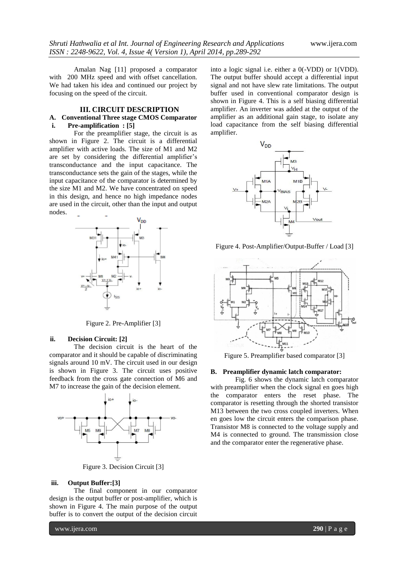Amalan Nag [11] proposed a comparator with 200 MHz speed and with offset cancellation. We had taken his idea and continued our project by focusing on the speed of the circuit.

# **III. CIRCUIT DESCRIPTION**

## **A. Conventional Three stage CMOS Comparator i. Pre-amplification : [5]**

For the preamplifier stage, the circuit is as shown in Figure 2. The circuit is a differential amplifier with active loads. The size of M1 and M2 are set by considering the differential amplifier's transconductance and the input capacitance. The transconductance sets the gain of the stages, while the input capacitance of the comparator is determined by the size M1 and M2. We have concentrated on speed in this design, and hence no high impedance nodes are used in the circuit, other than the input and output nodes.



Figure 2. Pre-Amplifier [3]

#### **ii. Decision Circuit: [2]**

The decision circuit is the heart of the comparator and it should be capable of discriminating signals around 10 mV. The circuit used in our design is shown in Figure 3. The circuit uses positive feedback from the cross gate connection of M6 and M7 to increase the gain of the decision element.



Figure 3. Decision Circuit [3]

## **iii. Output Buffer:[3]**

The final component in our comparator design is the output buffer or post-amplifier, which is shown in Figure 4. The main purpose of the output buffer is to convert the output of the decision circuit

into a logic signal i.e. either a 0(-VDD) or 1(VDD). The output buffer should accept a differential input signal and not have slew rate limitations. The output buffer used in conventional comparator design is shown in Figure 4. This is a self biasing differential amplifier. An inverter was added at the output of the amplifier as an additional gain stage, to isolate any load capacitance from the self biasing differential amplifier.



Figure 4. Post-Amplifier/Output-Buffer / Load [3]



Figure 5. Preamplifier based comparator [3]

## **B. Preamplifier dynamic latch comparator:**

Fig. 6 shows the dynamic latch comparator with preamplifier when the clock signal en goes high the comparator enters the reset phase. The comparator is resetting through the shorted transistor M13 between the two cross coupled inverters. When en goes low the circuit enters the comparison phase. Transistor M8 is connected to the voltage supply and M4 is connected to ground. The transmission close and the comparator enter the regenerative phase.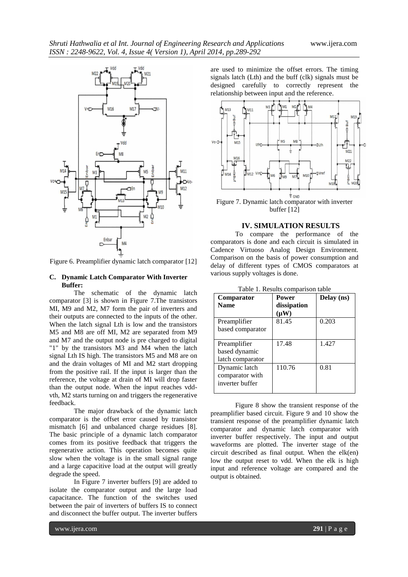

Figure 6. Preamplifier dynamic latch comparator [12]

## **C. Dynamic Latch Comparator With Inverter Buffer:**

The schematic of the dynamic latch comparator [3] is shown in Figure 7.The transistors MI, M9 and M2, M7 form the pair of inverters and their outputs are connected to the inputs of the other. When the latch signal Lth is low and the transistors M5 and M8 are off MI, M2 are separated from M9 and M7 and the output node is pre charged to digital "1" by the transistors M3 and M4 when the latch signal Lth IS high. The transistors M5 and M8 are on and the drain voltages of MI and M2 start dropping from the positive rail. If the input is larger than the reference, the voltage at drain of MI will drop faster than the output node. When the input reaches vddvth, M2 starts turning on and triggers the regenerative feedback.

The major drawback of the dynamic latch comparator is the offset error caused by transistor mismatch [6] and unbalanced charge residues [8]. The basic principle of a dynamic latch comparator comes from its positive feedback that triggers the regenerative action. This operation becomes quite slow when the voltage is in the small signal range and a large capacitive load at the output will greatly degrade the speed.

In Figure 7 inverter buffers [9] are added to isolate the comparator output and the large load capacitance. The function of the switches used between the pair of inverters of buffers IS to connect and disconnect the buffer output. The inverter buffers

are used to minimize the offset errors. The timing signals latch (Lth) and the buff (clk) signals must be designed carefully to correctly represent the relationship between input and the reference.



Figure 7. Dynamic latch comparator with inverter buffer [12]

#### **IV. SIMULATION RESULTS**

To compare the performance of the comparators is done and each circuit is simulated in Cadence Virtuoso Analog Design Environment. Comparison on the basis of power consumption and delay of different types of CMOS comparators at various supply voltages is done.

| Comparator       | Power       | Delay (ns) |
|------------------|-------------|------------|
| <b>Name</b>      | dissipation |            |
|                  | $(\mu W)$   |            |
| Preamplifier     | 81.45       | 0.203      |
| based comparator |             |            |
|                  |             |            |
| Preamplifier     | 17.48       | 1.427      |
| based dynamic    |             |            |
| latch comparator |             |            |
| Dynamic latch    | 110.76      | 0.81       |
| comparator with  |             |            |
| inverter buffer  |             |            |
|                  |             |            |

Table 1. Results comparison table

Figure 8 show the transient response of the preamplifier based circuit. Figure 9 and 10 show the transient response of the preamplifier dynamic latch comparator and dynamic latch comparator with inverter buffer respectively. The input and output waveforms are plotted. The inverter stage of the circuit described as final output. When the elk(en) low the output reset to vdd. When the elk is high input and reference voltage are compared and the output is obtained.